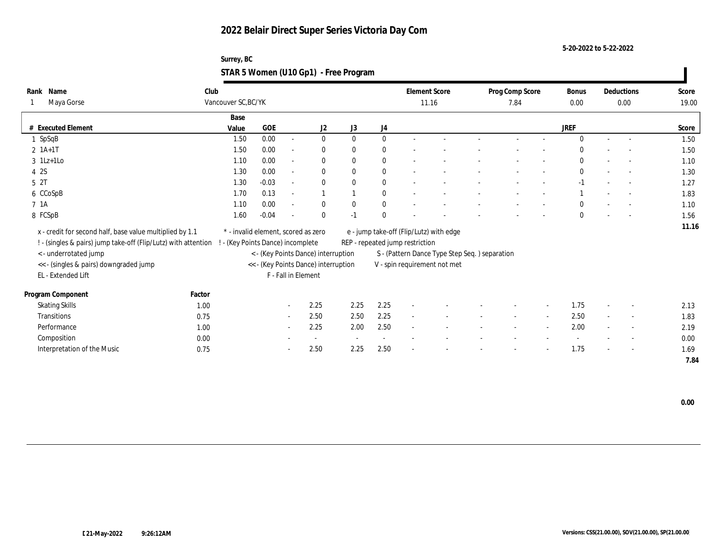**5-20-2022 to 5-22-2022**

| Surrey, BC                            |  |
|---------------------------------------|--|
| STAR 5 Women (U10 Gp1) - Free Program |  |

| Rank Name                                                        | Club   |                                     |         |                          |                                      |                          |                  |                                 | <b>Element Score</b>                           | Prog Comp Score |                          | Bonus        |        | Deductions               | Score |
|------------------------------------------------------------------|--------|-------------------------------------|---------|--------------------------|--------------------------------------|--------------------------|------------------|---------------------------------|------------------------------------------------|-----------------|--------------------------|--------------|--------|--------------------------|-------|
| Maya Gorse                                                       |        | Vancouver SC, BC/YK                 |         |                          |                                      |                          |                  |                                 | 11.16                                          | 7.84            |                          | $0.00\,$     | 0.00   |                          | 19.00 |
|                                                                  |        | Base                                |         |                          |                                      |                          |                  |                                 |                                                |                 |                          |              |        |                          |       |
| # Executed Element                                               |        | Value                               | GOE     |                          | J2                                   | J3                       | J4               |                                 |                                                |                 |                          | <b>JREF</b>  |        |                          | Score |
| $1$ SpSqB                                                        |        | 1.50                                | 0.00    | $\sim$                   | $\bf{0}$                             | $\mathbf{0}$             | $\mathbf{0}$     | $\overline{\phantom{a}}$        |                                                |                 |                          | $\Omega$     | $\sim$ | $\sim$                   | 1.50  |
| $2 \; 1A+1T$                                                     |        | 1.50                                | 0.00    | $\sim$                   | $\bf{0}$                             | $\mathbf{0}$             | $\bf{0}$         |                                 |                                                |                 |                          | $\Omega$     |        |                          | 1.50  |
| $3 \text{ } 1\text{Lz+1LO}$                                      |        | 1.10                                | 0.00    | $\sim$                   | $\mathbf{0}$                         | $\mathbf{0}$             | $\bf{0}$         | $\sim$                          |                                                |                 |                          | $\mathbf{0}$ |        | $\overline{\phantom{a}}$ | 1.10  |
| 4 2S                                                             |        | 1.30                                | 0.00    | $\sim$                   | $\mathbf{0}$                         | $\Omega$                 | $\bf{0}$         | $\sim$                          |                                                |                 |                          | $\mathbf{0}$ |        | $\sim$                   | 1.30  |
| 5 <sup>2T</sup>                                                  |        | 1.30                                | $-0.03$ | $\sim$                   | $\mathbf{0}$                         | $\mathbf{0}$             | $\bf{0}$         | $\overline{a}$                  |                                                |                 |                          | $-1$         |        | $\sim$                   | 1.27  |
| 6 CCoSpB                                                         |        | 1.70                                | 0.13    | $\sim$                   | $\mathbf{1}$                         |                          | $\bf{0}$         |                                 |                                                |                 |                          |              |        | $\overline{a}$           | 1.83  |
| 7 1A                                                             |        | 1.10                                | 0.00    | $\sim$                   | $\bf{0}$                             | $\bf{0}$                 | $\boldsymbol{0}$ |                                 |                                                |                 |                          | $\mathbf{0}$ |        | $\overline{a}$           | 1.10  |
| 8 FCSpB                                                          |        | 1.60                                | $-0.04$ | $\overline{\phantom{a}}$ | $\theta$                             | $-1$                     | $\theta$         |                                 |                                                |                 |                          | $\mathbf{0}$ |        | $\sim$                   | 1.56  |
| x - credit for second half, base value multiplied by 1.1         |        | * - invalid element, scored as zero |         |                          |                                      |                          |                  |                                 | e - jump take-off (Flip/Lutz) with edge        |                 |                          |              |        |                          | 11.16 |
| ! - (singles & pairs) jump take-off (Flip/Lutz) with attention ! |        | - (Key Points Dance) incomplete     |         |                          |                                      |                          |                  | REP - repeated jump restriction |                                                |                 |                          |              |        |                          |       |
| <- underrotated jump                                             |        |                                     |         |                          | < - (Key Points Dance) interruption  |                          |                  |                                 | S - (Pattern Dance Type Step Seq. ) separation |                 |                          |              |        |                          |       |
| << - (singles & pairs) downgraded jump                           |        |                                     |         |                          | << - (Key Points Dance) interruption |                          |                  |                                 | V - spin requirement not met                   |                 |                          |              |        |                          |       |
| EL - Extended Lift                                               |        |                                     |         | F - Fall in Element      |                                      |                          |                  |                                 |                                                |                 |                          |              |        |                          |       |
|                                                                  |        |                                     |         |                          |                                      |                          |                  |                                 |                                                |                 |                          |              |        |                          |       |
| Program Component                                                | Factor |                                     |         |                          |                                      |                          |                  |                                 |                                                |                 |                          |              |        |                          |       |
| <b>Skating Skills</b>                                            | 1.00   |                                     |         | $\sim$                   | 2.25                                 | 2.25                     | 2.25             |                                 |                                                |                 |                          | 1.75         |        | $\overline{\phantom{a}}$ | 2.13  |
| Transitions                                                      | 0.75   |                                     |         | $\sim$                   | 2.50                                 | 2.50                     | 2.25             | $\sim$                          |                                                | $\sim$          | $\sim$                   | 2.50         | $\sim$ | $\sim$                   | 1.83  |
| Performance                                                      | 1.00   |                                     |         | $\sim$                   | 2.25                                 | 2.00                     | 2.50             | $\sim$                          |                                                |                 | $\overline{\phantom{a}}$ | 2.00         |        | $\overline{\phantom{a}}$ | 2.19  |
| Composition                                                      | 0.00   |                                     |         |                          | $\sim$                               | $\overline{\phantom{a}}$ | $\sim$           |                                 |                                                |                 |                          |              |        | $\overline{\phantom{a}}$ | 0.00  |
| Interpretation of the Music                                      | 0.75   |                                     |         | $\sim$                   | 2.50                                 | 2.25                     | 2.50             |                                 |                                                |                 |                          | 1.75         |        | $\overline{\phantom{a}}$ | 1.69  |
|                                                                  |        |                                     |         |                          |                                      |                          |                  |                                 |                                                |                 |                          |              |        |                          | 7.84  |

 **0.00**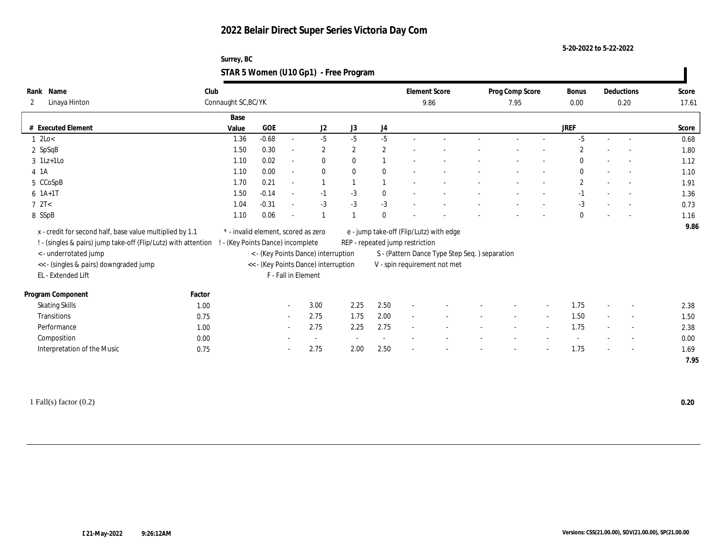**5-20-2022 to 5-22-2022**

| Surrey, BC                            |  |
|---------------------------------------|--|
| STAR 5 Women (U10 Gp1) - Free Program |  |

| Rank Name                                                      | Club   |                                     |            |                          |                                      |              |              | <b>Element Score</b>            |                                                | Prog Comp Score |        | <b>Bonus</b>   |        | Deductions               | Score |
|----------------------------------------------------------------|--------|-------------------------------------|------------|--------------------------|--------------------------------------|--------------|--------------|---------------------------------|------------------------------------------------|-----------------|--------|----------------|--------|--------------------------|-------|
| Linaya Hinton<br>2                                             |        | Connaught SC, BC/YK                 |            |                          |                                      |              |              |                                 | 9.86                                           | 7.95            |        | 0.00           |        | 0.20                     | 17.61 |
|                                                                |        | Base                                |            |                          |                                      |              |              |                                 |                                                |                 |        |                |        |                          |       |
| # Executed Element                                             |        | Value                               | <b>GOE</b> |                          | J2                                   | J3           | J4           |                                 |                                                |                 |        | <b>JREF</b>    |        |                          | Score |
| 12Lo<                                                          |        | 1.36                                | $-0.68$    | $\sim$                   | $-5$                                 | $-5$         | $-5$         |                                 |                                                |                 |        | $-5$           | $\sim$ | $\sim$                   | 0.68  |
| 2 SpSqB                                                        |        | 1.50                                | 0.30       | $\sim$                   | $\overline{2}$                       | $\mathbf{2}$ | $\mathbf{2}$ |                                 |                                                |                 |        | $\overline{2}$ |        |                          | 1.80  |
| $3 \text{ } 1\text{Lz+1LO}$                                    |        | 1.10                                | 0.02       | $\sim$                   | $\mathbf{0}$                         | $\mathbf{0}$ |              |                                 |                                                |                 |        | $\mathbf{0}$   |        | $\sim$                   | 1.12  |
| $4$ 1A                                                         |        | 1.10                                | 0.00       | $\sim$                   | $\bf{0}$                             | $\theta$     | $\mathbf{0}$ |                                 |                                                |                 |        | $\bf{0}$       | $\sim$ | $\sim$                   | 1.10  |
| 5 CCoSpB                                                       |        | 1.70                                | 0.21       | $\sim$                   |                                      |              |              |                                 |                                                |                 |        | $\mathbf{2}$   |        |                          | 1.91  |
| $6 1A+1T$                                                      |        | 1.50                                | $-0.14$    | $\sim$                   | $-1$                                 | $-3$         | $\bf{0}$     |                                 |                                                |                 |        | $-1$           |        |                          | 1.36  |
| 72T<                                                           |        | 1.04                                | $-0.31$    | $\sim$                   | $-3$                                 | $-3$         | $-3$         |                                 |                                                |                 |        | $-3$           |        |                          | 0.73  |
| 8 SSpB                                                         |        | 1.10                                | 0.06       | $\overline{\phantom{a}}$ |                                      |              | $\theta$     |                                 |                                                |                 |        | $\mathbf{0}$   |        |                          | 1.16  |
| x - credit for second half, base value multiplied by 1.1       |        | * - invalid element, scored as zero |            |                          |                                      |              |              |                                 | e - jump take-off (Flip/Lutz) with edge        |                 |        |                |        |                          | 9.86  |
| ! - (singles & pairs) jump take-off (Flip/Lutz) with attention |        | - (Key Points Dance) incomplete     |            |                          |                                      |              |              | REP - repeated jump restriction |                                                |                 |        |                |        |                          |       |
| <- underrotated jump                                           |        |                                     |            |                          | < - (Key Points Dance) interruption  |              |              |                                 | S - (Pattern Dance Type Step Seq. ) separation |                 |        |                |        |                          |       |
| << - (singles & pairs) downgraded jump                         |        |                                     |            |                          | << - (Key Points Dance) interruption |              |              |                                 | V - spin requirement not met                   |                 |        |                |        |                          |       |
| EL - Extended Lift                                             |        |                                     |            | F - Fall in Element      |                                      |              |              |                                 |                                                |                 |        |                |        |                          |       |
|                                                                |        |                                     |            |                          |                                      |              |              |                                 |                                                |                 |        |                |        |                          |       |
| Program Component                                              | Factor |                                     |            |                          |                                      |              |              |                                 |                                                |                 |        |                |        |                          |       |
| <b>Skating Skills</b>                                          | 1.00   |                                     |            | $\sim$ 10 $\,$           | 3.00                                 | 2.25         | 2.50         | $\sim$                          |                                                |                 |        | 1.75           |        | $\sim$                   | 2.38  |
| Transitions                                                    | 0.75   |                                     |            | $\sim$                   | 2.75                                 | 1.75         | 2.00         | $\sim$                          |                                                | $\sim$          | $\sim$ | 1.50           | $\sim$ | $\sim$                   | 1.50  |
| Performance                                                    | 1.00   |                                     |            | $\sim$                   | 2.75                                 | 2.25         | 2.75         | $\sim$                          |                                                |                 |        | 1.75           |        | $\overline{\phantom{a}}$ | 2.38  |
| Composition                                                    | 0.00   |                                     |            |                          | $\sim$                               |              | $\sim$       |                                 |                                                |                 |        |                |        | $\overline{\phantom{a}}$ | 0.00  |
| Interpretation of the Music                                    | 0.75   |                                     |            |                          | 2.75                                 | 2.00         | 2.50         |                                 |                                                |                 |        | 1.75           |        | $\sim$                   | 1.69  |
|                                                                |        |                                     |            |                          |                                      |              |              |                                 |                                                |                 |        |                |        |                          | 7.95  |

1 Fall(s) factor (0.2) **0.20**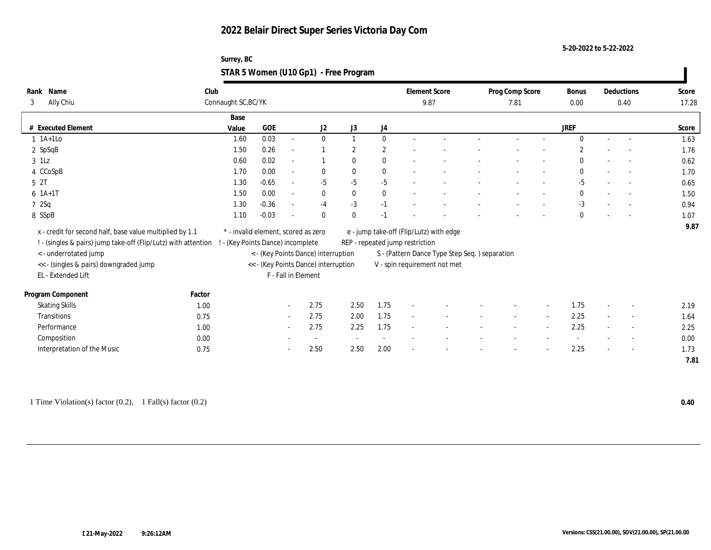**5-20-2022 to 5-22-2022**

#### **Surrey, BC STAR 5 Women (U10 Gp1) - Free Program**

| Name<br>Rank<br>Ally Chiu<br>3                                 | Club   | Connaught SC, BC/YK |                                     |                          |                                      |                          |              | <b>Element Score</b><br>9.87    |                                               | Prog Comp Score<br>7.81 |        | Bonus<br>0.00  |        | Deductions<br>0.40       | Score<br>17.28 |
|----------------------------------------------------------------|--------|---------------------|-------------------------------------|--------------------------|--------------------------------------|--------------------------|--------------|---------------------------------|-----------------------------------------------|-------------------------|--------|----------------|--------|--------------------------|----------------|
|                                                                |        | Base                |                                     |                          |                                      |                          |              |                                 |                                               |                         |        |                |        |                          |                |
| # Executed Element                                             |        | Value               | <b>GOE</b>                          |                          | J2                                   | J3                       | J4           |                                 |                                               |                         |        | <b>JREF</b>    |        |                          | Score          |
| $1$ 1A+1Lo                                                     |        | 1.60                | 0.03                                | $\sim$                   | $\bf{0}$                             | $\mathbf{1}$             | $\mathbf{0}$ |                                 |                                               |                         |        | $\Omega$       |        | $\sim$                   | 1.63           |
| 2 SpSqB                                                        |        | 1.50                | 0.26                                | $\overline{\phantom{a}}$ |                                      | $\mathbf{2}$             | $\mathbf{2}$ |                                 |                                               |                         |        | $\overline{2}$ |        |                          | 1.76           |
| $3$ 1Lz                                                        |        | 0.60                | 0.02                                | $\overline{\phantom{a}}$ | 1                                    | $\mathbf{0}$             | $\bf{0}$     |                                 |                                               |                         |        | $\mathbf{0}$   |        | $\sim$                   | 0.62           |
| 4 CCoSpB                                                       |        | 1.70                | 0.00                                | $\sim$                   | $\mathbf{0}$                         | $\bf{0}$                 | $\bf{0}$     |                                 |                                               |                         |        | $\mathbf{0}$   |        | $\overline{\phantom{a}}$ | 1.70           |
| 5 <sup>2T</sup>                                                |        | 1.30                | $-0.65$                             | $\sim$                   | $-5$                                 | $-5$                     | $-5$         |                                 |                                               |                         |        | $-5$           |        | $\overline{\phantom{a}}$ | 0.65           |
| $6 \; 1A+1T$                                                   |        | 1.50                | 0.00                                | $\sim$                   | $\mathbf{0}$                         | $\mathbf{0}$             | $\mathbf{0}$ |                                 |                                               |                         |        | $\mathbf{0}$   |        | $\sim$                   | 1.50           |
| 72Sq                                                           |        | 1.30                | $-0.36$                             | $\sim$                   | $-4$                                 | $-3$                     | $-1$         |                                 |                                               |                         |        | $-3$           |        |                          | 0.94           |
| 8 SSpB                                                         |        | 1.10                | $-0.03$                             |                          | $\mathbf{0}$                         | $\mathbf{0}$             | $-1$         |                                 |                                               |                         |        | $\mathbf{0}$   |        | $\overline{\phantom{a}}$ | 1.07           |
| x - credit for second half, base value multiplied by 1.1       |        |                     | * - invalid element, scored as zero |                          |                                      |                          |              |                                 | e - jump take-off (Flip/Lutz) with edge       |                         |        |                |        |                          | 9.87           |
| ! - (singles & pairs) jump take-off (Flip/Lutz) with attention |        |                     | - (Key Points Dance) incomplete     |                          |                                      |                          |              | REP - repeated jump restriction |                                               |                         |        |                |        |                          |                |
| <- underrotated jump                                           |        |                     |                                     |                          | < - (Key Points Dance) interruption  |                          |              |                                 | S - (Pattern Dance Type Step Seq.) separation |                         |        |                |        |                          |                |
| << - (singles & pairs) downgraded jump                         |        |                     |                                     |                          | << - (Key Points Dance) interruption |                          |              |                                 | ${\tt V}$ - spin requirement not met          |                         |        |                |        |                          |                |
| EL - Extended Lift                                             |        |                     |                                     | F - Fall in Element      |                                      |                          |              |                                 |                                               |                         |        |                |        |                          |                |
| Program Component                                              | Factor |                     |                                     |                          |                                      |                          |              |                                 |                                               |                         |        |                |        |                          |                |
| <b>Skating Skills</b>                                          | 1.00   |                     |                                     | $\sim$                   | 2.75                                 | 2.50                     | 1.75         |                                 |                                               |                         |        | 1.75           |        | $\overline{\phantom{a}}$ | 2.19           |
| Transitions                                                    | 0.75   |                     |                                     | $\sim$                   | 2.75                                 | 2.00                     | 1.75         | $\sim$                          |                                               | $\sim$                  | $\sim$ | 2.25           | $\sim$ | $\sim$                   | 1.64           |
| Performance                                                    | 1.00   |                     |                                     | $\sim$                   | 2.75                                 | 2.25                     | 1.75         |                                 |                                               |                         |        | 2.25           |        | $\overline{\phantom{a}}$ | 2.25           |
| Composition                                                    | 0.00   |                     |                                     |                          | $\overline{\phantom{a}}$             | $\overline{\phantom{a}}$ |              |                                 |                                               |                         |        |                |        | $\overline{\phantom{a}}$ | 0.00           |
| Interpretation of the Music                                    | 0.75   |                     |                                     | $\sim$                   | 2.50                                 | 2.50                     | 2.00         |                                 |                                               |                         |        | 2.25           |        | $\sim$                   | 1.73           |
|                                                                |        |                     |                                     |                          |                                      |                          |              |                                 |                                               |                         |        |                |        |                          | 7.81           |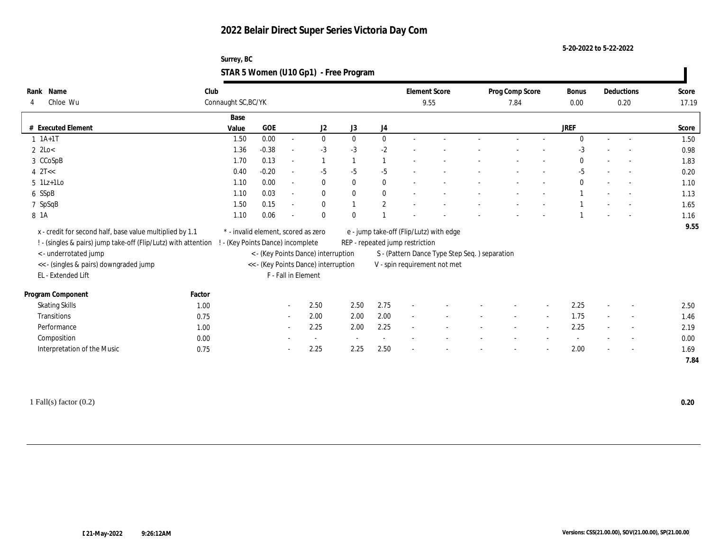| Surrey, BC                            |  |
|---------------------------------------|--|
| STAR 5 Women (U10 Gp1) - Free Program |  |

| Rank Name                                                      | Club   |                                     |            |                          |                                      |              |              |                                 | <b>Element Score</b>                           | Prog Comp Score          |        | <b>Bonus</b> |        | Deductions               | Score |
|----------------------------------------------------------------|--------|-------------------------------------|------------|--------------------------|--------------------------------------|--------------|--------------|---------------------------------|------------------------------------------------|--------------------------|--------|--------------|--------|--------------------------|-------|
| Chloe Wu<br>4                                                  |        | Connaught SC, BC/YK                 |            |                          |                                      |              |              |                                 | 9.55                                           | 7.84                     |        | 0.00         | 0.20   |                          | 17.19 |
|                                                                |        | Base                                |            |                          |                                      |              |              |                                 |                                                |                          |        |              |        |                          |       |
| # Executed Element                                             |        | Value                               | <b>GOE</b> |                          | J2                                   | J3           | J4           |                                 |                                                |                          |        | <b>JREF</b>  |        |                          | Score |
| $1 \t1A+1T$                                                    |        | 1.50                                | 0.00       | $\sim$                   | $\bf{0}$                             | $\theta$     | $\mathbf{0}$ |                                 |                                                |                          |        | $\Omega$     |        |                          | 1.50  |
| $2$ 2Lo $<$                                                    |        | 1.36                                | $-0.38$    | $\sim$                   | $-3$                                 | $-3$         | $-2$         |                                 |                                                |                          |        | $-3$         |        |                          | 0.98  |
| 3 CCoSpB                                                       |        | 1.70                                | 0.13       | $\overline{\phantom{a}}$ | $\mathbf{1}$                         |              | $\mathbf{1}$ |                                 |                                                |                          |        | $\mathbf{0}$ |        |                          | 1.83  |
| $4$ $2$ T<<                                                    |        | 0.40                                | $-0.20$    | $\overline{a}$           | $-5$                                 | $-5$         | $-5$         |                                 |                                                |                          |        | $-5$         |        | $\sim$                   | 0.20  |
| $5$ 1Lz+1Lo                                                    |        | 1.10                                | 0.00       | $\sim$                   | $\mathbf{0}$                         | $\mathbf{0}$ | $\mathbf{0}$ |                                 |                                                |                          |        | $\mathbf{0}$ |        | $\sim$                   | 1.10  |
| 6 SSpB                                                         |        | 1.10                                | 0.03       | $\overline{a}$           | $\bf{0}$                             | $\mathbf{0}$ | $\bf{0}$     |                                 |                                                |                          |        |              |        |                          | 1.13  |
| 7 SpSqB                                                        |        | 1.50                                | 0.15       | $\overline{\phantom{a}}$ | $\bf{0}$                             |              | $\sqrt{2}$   |                                 |                                                |                          |        |              |        |                          | 1.65  |
| 8 1 A                                                          |        | 1.10                                | 0.06       |                          | $\mathbf{0}$                         | $\theta$     |              |                                 |                                                |                          |        |              |        |                          | 1.16  |
| x - credit for second half, base value multiplied by 1.1       |        | * - invalid element, scored as zero |            |                          |                                      |              |              |                                 | e - jump take-off (Flip/Lutz) with edge        |                          |        |              |        |                          | 9.55  |
| ! - (singles & pairs) jump take-off (Flip/Lutz) with attention |        | - (Key Points Dance) incomplete     |            |                          |                                      |              |              | REP - repeated jump restriction |                                                |                          |        |              |        |                          |       |
| < - underrotated jump                                          |        |                                     |            |                          | < - (Key Points Dance) interruption  |              |              |                                 | S - (Pattern Dance Type Step Seq. ) separation |                          |        |              |        |                          |       |
| << - (singles & pairs) downgraded jump                         |        |                                     |            |                          | << - (Key Points Dance) interruption |              |              |                                 | V - spin requirement not met                   |                          |        |              |        |                          |       |
| EL - Extended Lift                                             |        |                                     |            | F - Fall in Element      |                                      |              |              |                                 |                                                |                          |        |              |        |                          |       |
|                                                                |        |                                     |            |                          |                                      |              |              |                                 |                                                |                          |        |              |        |                          |       |
| Program Component                                              | Factor |                                     |            |                          |                                      |              |              |                                 |                                                |                          |        |              |        |                          |       |
| <b>Skating Skills</b>                                          | 1.00   |                                     |            | $\sim$ $-$               | 2.50                                 | 2.50         | 2.75         | $\overline{a}$                  |                                                |                          |        | 2.25         | $\sim$ | $\sim$                   | 2.50  |
| Transitions                                                    | 0.75   |                                     |            | $\sim$                   | 2.00                                 | 2.00         | 2.00         | $\sim$                          |                                                | $\overline{\phantom{a}}$ | $\sim$ | 1.75         | $\sim$ | $\sim$                   | 1.46  |
| Performance                                                    | 1.00   |                                     |            | $\sim$                   | 2.25                                 | 2.00         | 2.25         | $\sim$                          |                                                |                          | $\sim$ | 2.25         |        | $\overline{\phantom{a}}$ | 2.19  |
| Composition                                                    | 0.00   |                                     |            |                          | $\sim$                               |              |              |                                 |                                                |                          |        |              |        | $\overline{\phantom{a}}$ | 0.00  |
| Interpretation of the Music                                    | 0.75   |                                     |            |                          | 2.25                                 | 2.25         | 2.50         |                                 |                                                |                          |        | 2.00         |        | $\overline{\phantom{a}}$ | 1.69  |
|                                                                |        |                                     |            |                          |                                      |              |              |                                 |                                                |                          |        |              |        |                          | 7.84  |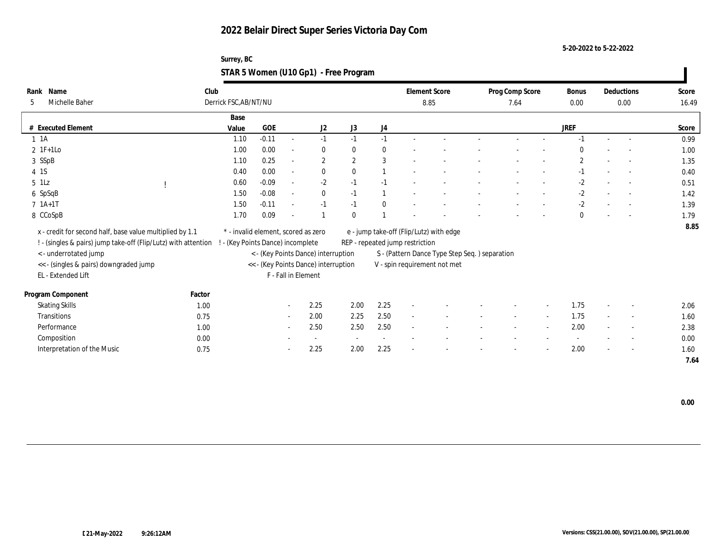| Surrey, BC                            |  |
|---------------------------------------|--|
| STAR 5 Women (U10 Gp1) - Free Program |  |

| Rank Name                                                      | Club                              |                                     |                          |                                      |              |              | <b>Element Score</b>            |                                               |                 |                          |              |        | Deductions               | Score |
|----------------------------------------------------------------|-----------------------------------|-------------------------------------|--------------------------|--------------------------------------|--------------|--------------|---------------------------------|-----------------------------------------------|-----------------|--------------------------|--------------|--------|--------------------------|-------|
| Michelle Baher<br>5                                            | Derrick FSC, AB/NT/NU             |                                     |                          |                                      |              |              |                                 |                                               | Prog Comp Score |                          | Bonus        |        |                          |       |
|                                                                |                                   |                                     |                          |                                      |              |              | 8.85                            |                                               | 7.64            |                          | 0.00         |        | 0.00                     | 16.49 |
|                                                                | Base                              |                                     |                          |                                      |              |              |                                 |                                               |                 |                          |              |        |                          |       |
| # Executed Element                                             | Value                             | GOE                                 |                          | J2                                   | J3           | J4           |                                 |                                               |                 |                          | JREF         |        |                          | Score |
| $1 \t1A$                                                       | 1.10                              | $-0.11$                             | $\sim$                   | $-1$                                 | $-1$         | $-1$         |                                 |                                               |                 |                          |              |        |                          | 0.99  |
| $2 \text{ IF+1Lo}$                                             | 1.00                              | 0.00                                | $\overline{\phantom{a}}$ | $\mathbf{0}$                         | $\bf{0}$     | $\bf{0}$     |                                 |                                               |                 |                          | $\Omega$     |        |                          | 1.00  |
| 3 SSpB                                                         | 1.10                              | 0.25                                | $\sim$                   | $\mathbf{2}$                         | $\mathbf{2}$ | 3            |                                 |                                               |                 |                          | $\mathbf{2}$ |        | $\sim$                   | 1.35  |
| 4 1S                                                           | 0.40                              | 0.00                                | $\sim$                   | $\mathbf{0}$                         | $\theta$     |              |                                 |                                               |                 |                          | $-1$         |        | $\sim$                   | 0.40  |
| $5$ 1Lz                                                        | 0.60                              | $-0.09$                             | $\sim$                   | $-2$                                 | $-1$         | $-1$         |                                 |                                               |                 |                          | $-2$         |        |                          | 0.51  |
| 6 SpSqB                                                        | 1.50                              | $-0.08$                             | $\sim$                   | $\bf{0}$                             | $-1$         |              |                                 |                                               |                 |                          | $-2$         |        |                          | 1.42  |
| $7 \; 1A+1T$                                                   | 1.50                              | $-0.11$                             | $\sim$                   | $-1$                                 | $-1$         | $\mathbf{0}$ |                                 |                                               |                 |                          | $-2$         |        |                          | 1.39  |
| 8 CCoSpB                                                       | 1.70                              | 0.09                                |                          |                                      | $\theta$     |              |                                 |                                               |                 |                          | $\mathbf{0}$ |        |                          | 1.79  |
|                                                                |                                   | * - invalid element, scored as zero |                          |                                      |              |              |                                 |                                               |                 |                          |              |        |                          | 8.85  |
| x - credit for second half, base value multiplied by 1.1       |                                   |                                     |                          |                                      |              |              |                                 | e - jump take-off (Flip/Lutz) with edge       |                 |                          |              |        |                          |       |
| ! - (singles & pairs) jump take-off (Flip/Lutz) with attention | ! - (Key Points Dance) incomplete |                                     |                          |                                      |              |              | REP - repeated jump restriction |                                               |                 |                          |              |        |                          |       |
| <- underrotated jump                                           |                                   |                                     |                          | < - (Key Points Dance) interruption  |              |              |                                 | S - (Pattern Dance Type Step Seq.) separation |                 |                          |              |        |                          |       |
| << - (singles & pairs) downgraded jump                         |                                   |                                     |                          | << - (Key Points Dance) interruption |              |              |                                 | V - spin requirement not met                  |                 |                          |              |        |                          |       |
| EL - Extended Lift                                             |                                   |                                     | F - Fall in Element      |                                      |              |              |                                 |                                               |                 |                          |              |        |                          |       |
| Program Component                                              | Factor                            |                                     |                          |                                      |              |              |                                 |                                               |                 |                          |              |        |                          |       |
| <b>Skating Skills</b>                                          | 1.00                              |                                     | $\sim$                   | 2.25                                 | 2.00         | 2.25         | $\overline{\phantom{a}}$        |                                               |                 | $\overline{\phantom{a}}$ | 1.75         |        | $\overline{\phantom{a}}$ | 2.06  |
| <b>Transitions</b>                                             | 0.75                              |                                     | $\sim$                   | 2.00                                 | 2.25         | 2.50         | $\sim$                          |                                               | $\sim$          | $\sim$                   | 1.75         | $\sim$ | $\overline{\phantom{a}}$ | 1.60  |
| Performance                                                    | 1.00                              |                                     | $\sim$                   | 2.50                                 | 2.50         | 2.50         | $\overline{a}$                  |                                               |                 | $\overline{\phantom{a}}$ | 2.00         |        | $\overline{\phantom{a}}$ | 2.38  |
| Composition                                                    | 0.00                              |                                     |                          | $\overline{\phantom{a}}$             | $\sim$       | $\sim$       |                                 |                                               |                 |                          |              |        | $\overline{\phantom{a}}$ | 0.00  |
| Interpretation of the Music                                    | 0.75                              |                                     |                          | 2.25                                 | 2.00         | 2.25         |                                 |                                               |                 |                          | 2.00         |        | $\overline{\phantom{a}}$ | 1.60  |
|                                                                |                                   |                                     |                          |                                      |              |              |                                 |                                               |                 |                          |              |        |                          | 7.64  |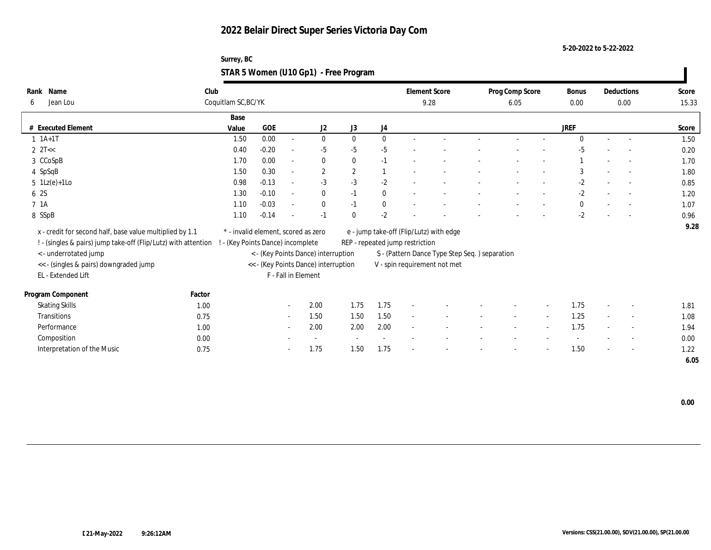**5-20-2022 to 5-22-2022**

#### **Surrey, BC STAR 5 Women (U10 Gp1) - Free Program**

| Name<br>Rank                                                   | Club                |                                     |                          |                                      |              |              | <b>Element Score</b>            |                                                | Prog Comp Score |        | Bonus        |        | Deductions               | Score |
|----------------------------------------------------------------|---------------------|-------------------------------------|--------------------------|--------------------------------------|--------------|--------------|---------------------------------|------------------------------------------------|-----------------|--------|--------------|--------|--------------------------|-------|
| Jean Lou<br>6                                                  | Coquitlam SC, BC/YK |                                     |                          |                                      |              |              |                                 | 9.28                                           | 6.05            |        | 0.00         |        | 0.00                     | 15.33 |
|                                                                | Base                |                                     |                          |                                      |              |              |                                 |                                                |                 |        |              |        |                          |       |
| # Executed Element                                             | Value               | <b>GOE</b>                          |                          | J2                                   | J3           | J4           |                                 |                                                |                 |        | <b>JREF</b>  |        |                          | Score |
| $1$ $1A+1T$                                                    | 1.50                | 0.00                                | $\overline{\phantom{a}}$ | $\bf{0}$                             | $\mathbf{0}$ | $\mathbf{0}$ | $\sim$                          |                                                |                 |        | $\mathbf{0}$ | $\sim$ | $\sim$                   | 1.50  |
| $2 \text{ } 2T <<$                                             | 0.40                | $-0.20$                             | $\overline{\phantom{a}}$ | $-5$                                 | $-5$         | $-5$         |                                 |                                                |                 |        | $-5$         |        |                          | 0.20  |
| 3 CCoSpB                                                       | 1.70                | 0.00                                | $\sim$                   | $\bf{0}$                             | $\mathbf{0}$ | $-1$         |                                 |                                                |                 |        |              |        |                          | 1.70  |
| 4 SpSqB                                                        | 1.50                | 0.30                                | $\sim$                   | $\mathbf{2}$                         | $\mathbf{2}$ |              |                                 |                                                |                 |        | 3            |        | $\sim$                   | 1.80  |
| $5 \text{ } 1\text{Lz}(e)+1\text{Lo}$                          | 0.98                | $-0.13$                             | $\sim$                   | $-3$                                 | $-3$         | $-2$         |                                 |                                                |                 |        | $-2$         |        | $\sim$                   | 0.85  |
| 6 2S                                                           | 1.30                | $-0.10$                             | $\sim$                   | $\bf{0}$                             | $-1$         | $\mathbf{0}$ |                                 |                                                |                 |        | $-2$         |        | $\sim$                   | 1.20  |
| 7 1A                                                           | 1.10                | $-0.03$                             | $\overline{\phantom{a}}$ | $\bf{0}$                             | $-1$         | $\bf{0}$     |                                 |                                                |                 |        | $\bf{0}$     |        |                          | 1.07  |
| 8 SSpB                                                         | 1.10                | $-0.14$                             | $\overline{\phantom{a}}$ | $-1$                                 | $\mathbf{0}$ | $-2$         |                                 |                                                |                 |        | $-2$         |        |                          | 0.96  |
| x - credit for second half, base value multiplied by 1.1       |                     | * - invalid element, scored as zero |                          |                                      |              |              |                                 | e - jump take-off (Flip/Lutz) with edge        |                 |        |              |        |                          | 9.28  |
| ! - (singles & pairs) jump take-off (Flip/Lutz) with attention |                     | - (Key Points Dance) incomplete     |                          |                                      |              |              | REP - repeated jump restriction |                                                |                 |        |              |        |                          |       |
| < - underrotated jump                                          |                     |                                     |                          | < - (Key Points Dance) interruption  |              |              |                                 | S - (Pattern Dance Type Step Seq. ) separation |                 |        |              |        |                          |       |
| << - (singles & pairs) downgraded jump                         |                     |                                     |                          | << - (Key Points Dance) interruption |              |              |                                 | V - spin requirement not met                   |                 |        |              |        |                          |       |
| EL - Extended Lift                                             |                     |                                     | F - Fall in Element      |                                      |              |              |                                 |                                                |                 |        |              |        |                          |       |
|                                                                |                     |                                     |                          |                                      |              |              |                                 |                                                |                 |        |              |        |                          |       |
| Program Component                                              | Factor              |                                     |                          |                                      |              |              |                                 |                                                |                 |        |              |        |                          |       |
| <b>Skating Skills</b>                                          | 1.00                |                                     | $\sim$                   | 2.00                                 | 1.75         | 1.75         | $\overline{\phantom{a}}$        |                                                |                 |        | 1.75         |        | $\overline{\phantom{a}}$ | 1.81  |
| Transitions                                                    | 0.75                |                                     | $\sim$                   | 1.50                                 | 1.50         | 1.50         | $\sim$                          |                                                | $\sim$          | $\sim$ | 1.25         | $\sim$ | $\sim$                   | 1.08  |
| Performance                                                    | 1.00                |                                     | $\sim$                   | 2.00                                 | 2.00         | 2.00         | $\sim$                          |                                                |                 |        | 1.75         |        | $\overline{\phantom{a}}$ | 1.94  |
| Composition                                                    | 0.00                |                                     |                          |                                      |              |              |                                 |                                                |                 |        |              |        |                          | 0.00  |
| Interpretation of the Music                                    | 0.75                |                                     | $\sim$                   | 1.75                                 | 1.50         | 1.75         |                                 |                                                |                 |        | 1.50         |        | $\sim$                   | 1.22  |
|                                                                |                     |                                     |                          |                                      |              |              |                                 |                                                |                 |        |              |        |                          | 6.05  |

 **0.00**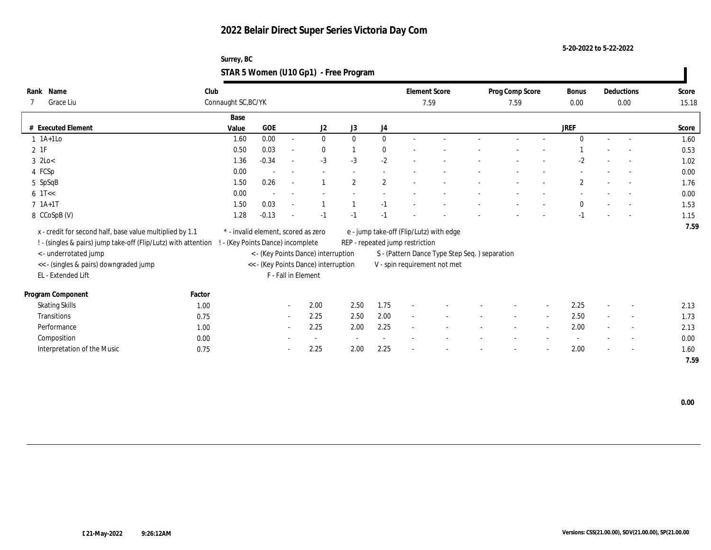| Surrey, BC                            |  |
|---------------------------------------|--|
| STAR 5 Women (U10 Gp1) - Free Program |  |

| Name<br>Rank                                                   | Club   |                                     |         |                          |                                      |                          |              | <b>Element Score</b>            |                                               | Prog Comp Score |                          | Bonus        |        | Deductions               | Score |
|----------------------------------------------------------------|--------|-------------------------------------|---------|--------------------------|--------------------------------------|--------------------------|--------------|---------------------------------|-----------------------------------------------|-----------------|--------------------------|--------------|--------|--------------------------|-------|
| Grace Liu                                                      |        | Connaught SC, BC/YK                 |         |                          |                                      |                          |              | 7.59                            |                                               | 7.59            |                          | 0.00         |        | 0.00                     | 15.18 |
|                                                                |        | Base                                |         |                          |                                      |                          |              |                                 |                                               |                 |                          |              |        |                          |       |
| <b>Executed Element</b><br>#                                   |        | Value                               | GOE     |                          | J <sub>2</sub>                       | J3                       | J4           |                                 |                                               |                 |                          | JREF         |        |                          | Score |
| $1$ 1A+1Lo                                                     |        | 1.60                                | 0.00    | $\sim$                   | $\mathbf{0}$                         | $\mathbf{0}$             | $\mathbf{0}$ |                                 |                                               |                 |                          | $\Omega$     |        |                          | 1.60  |
| $2$ 1F                                                         |        | 0.50                                | 0.03    | $\sim$                   | $\bf{0}$                             |                          | $\bf{0}$     |                                 |                                               |                 |                          |              |        | $\overline{a}$           | 0.53  |
| $3 \text{ } 2\text{Lo}$                                        |        | 1.36                                | $-0.34$ | $\overline{\phantom{a}}$ | $-3$                                 | $-3$                     | $-2$         |                                 |                                               |                 |                          | $-2$         |        | $\sim$                   | 1.02  |
| 4 FCSp                                                         |        | 0.00                                |         |                          |                                      |                          |              |                                 |                                               |                 |                          |              |        | $\overline{\phantom{a}}$ | 0.00  |
| 5 SpSqB                                                        |        | 1.50                                | 0.26    | ÷,                       |                                      | $\mathbf{2}$             | $\mathbf{2}$ |                                 |                                               |                 |                          | $\mathbf{2}$ |        |                          | 1.76  |
| $6$ 1T $<<$                                                    |        | 0.00                                |         |                          |                                      |                          |              |                                 |                                               |                 |                          |              |        |                          | 0.00  |
| $7 \; 1A+1T$                                                   |        | 1.50                                | 0.03    | $\overline{\phantom{a}}$ | $\overline{1}$                       | $\mathbf{1}$             | $-1$         |                                 |                                               |                 |                          | $\mathbf{0}$ |        | $\sim$                   | 1.53  |
| 8 CCoSpB (V)                                                   |        | 1.28                                | $-0.13$ |                          | $-1$                                 | $-1$                     | $-1$         |                                 |                                               |                 |                          | $-1$         |        |                          | 1.15  |
| x - credit for second half, base value multiplied by 1.1       |        | * - invalid element, scored as zero |         |                          |                                      |                          |              |                                 | e - jump take-off (Flip/Lutz) with edge       |                 |                          |              |        |                          | 7.59  |
| ! - (singles & pairs) jump take-off (Flip/Lutz) with attention |        | ! - (Key Points Dance) incomplete   |         |                          |                                      |                          |              | REP - repeated jump restriction |                                               |                 |                          |              |        |                          |       |
| <- underrotated jump                                           |        |                                     |         |                          | < - (Key Points Dance) interruption  |                          |              |                                 | S - (Pattern Dance Type Step Seq.) separation |                 |                          |              |        |                          |       |
| << - (singles & pairs) downgraded jump                         |        |                                     |         |                          | << - (Key Points Dance) interruption |                          |              |                                 | V - spin requirement not met                  |                 |                          |              |        |                          |       |
| EL - Extended Lift                                             |        |                                     |         | F - Fall in Element      |                                      |                          |              |                                 |                                               |                 |                          |              |        |                          |       |
|                                                                |        |                                     |         |                          |                                      |                          |              |                                 |                                               |                 |                          |              |        |                          |       |
| Program Component                                              | Factor |                                     |         |                          |                                      |                          |              |                                 |                                               |                 |                          |              |        |                          |       |
| <b>Skating Skills</b>                                          | 1.00   |                                     |         | $\sim$                   | 2.00                                 | 2.50                     | 1.75         | $\overline{\phantom{a}}$        |                                               |                 | $\overline{\phantom{a}}$ | 2.25         |        | $\sim$                   | 2.13  |
| <b>Transitions</b>                                             | 0.75   |                                     |         | $\sim$                   | 2.25                                 | 2.50                     | 2.00         | $\sim$                          |                                               | $\sim$          | $\sim$                   | 2.50         | $\sim$ | $\overline{\phantom{a}}$ | 1.73  |
| Performance                                                    | 1.00   |                                     |         | $\sim$                   | 2.25                                 | 2.00                     | 2.25         | $\overline{\phantom{a}}$        |                                               |                 | $\overline{\phantom{a}}$ | 2.00         |        | $\overline{\phantom{a}}$ | 2.13  |
| Composition                                                    | 0.00   |                                     |         |                          | $\sim$                               | $\overline{\phantom{a}}$ | $\sim$       |                                 |                                               |                 |                          |              |        | $\overline{\phantom{a}}$ | 0.00  |
| Interpretation of the Music                                    | 0.75   |                                     |         |                          | 2.25                                 | 2.00                     | 2.25         |                                 |                                               |                 |                          | 2.00         |        | $\overline{\phantom{a}}$ | 1.60  |
|                                                                |        |                                     |         |                          |                                      |                          |              |                                 |                                               |                 |                          |              |        |                          | 7.59  |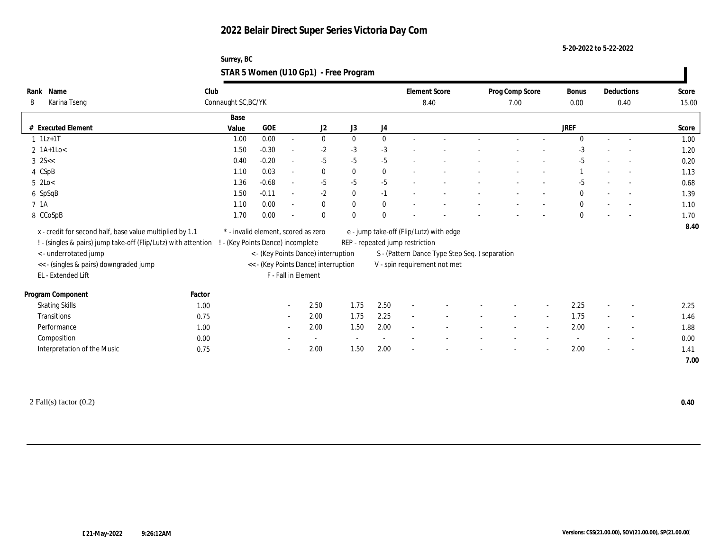| Surrey, BC                            |  |
|---------------------------------------|--|
| STAR 5 Women (U10 Gp1) - Free Program |  |

| Name<br>Rank                                                   | Club   |                                     |            |                          |                                      |              |              |                                 | <b>Element Score</b>                           | Prog Comp Score          |        | <b>Bonus</b> |        | Deductions               | Score |
|----------------------------------------------------------------|--------|-------------------------------------|------------|--------------------------|--------------------------------------|--------------|--------------|---------------------------------|------------------------------------------------|--------------------------|--------|--------------|--------|--------------------------|-------|
| Karina Tseng<br>8                                              |        | Connaught SC, BC/YK                 |            |                          |                                      |              |              | 8.40                            |                                                | 7.00                     |        |              |        | 0.40                     | 15.00 |
|                                                                |        | Base                                |            |                          |                                      |              |              |                                 |                                                |                          |        |              |        |                          |       |
| # Executed Element                                             |        | Value                               | <b>GOE</b> |                          | J2                                   | J3           | J4           |                                 |                                                |                          |        | <b>JREF</b>  |        |                          | Score |
| $1$ 1Lz+1T                                                     |        | 1.00                                | 0.00       | $\sim$                   | $\bf{0}$                             | $\mathbf{0}$ | $\bf{0}$     |                                 |                                                |                          |        | $\Omega$     | $\sim$ | $\overline{a}$           | 1.00  |
| $2$ 1A+1Lo<                                                    |        | 1.50                                | $-0.30$    | $\sim$                   | $-2$                                 | $-3$         | $-3$         |                                 |                                                |                          |        | $-3$         |        |                          | 1.20  |
| $3$ 2S $<<$                                                    |        | 0.40                                | $-0.20$    | $\overline{\phantom{a}}$ | $-5$                                 | $-5$         | $-5$         |                                 |                                                |                          |        | $-5$         |        |                          | 0.20  |
| 4 CSpB                                                         |        | 1.10                                | 0.03       | $\sim$                   | $\bf{0}$                             | $\theta$     | $\bf{0}$     |                                 |                                                |                          |        |              |        | $\sim$                   | 1.13  |
| $5$ 2Lo $<$                                                    |        | 1.36                                | $-0.68$    | $\sim$                   | $-5$                                 | $-5$         | $-5$         |                                 |                                                |                          |        | $-5$         |        | $\overline{\phantom{a}}$ | 0.68  |
| 6 SpSqB                                                        |        | 1.50                                | $-0.11$    | $\overline{a}$           | $-2$                                 | $\mathbf{0}$ | $-1$         |                                 |                                                |                          |        | $\mathbf{0}$ |        |                          | 1.39  |
| 7 1A                                                           |        | 1.10                                | 0.00       | $\overline{\phantom{a}}$ | $\bf{0}$                             | $\bf{0}$     | $\bf{0}$     |                                 |                                                |                          |        | $\bf{0}$     |        |                          | 1.10  |
| 8 CCoSpB                                                       |        | 1.70                                | 0.00       |                          | $\mathbf{0}$                         | $\theta$     | $\mathbf{0}$ |                                 |                                                |                          |        | $\mathbf{0}$ |        |                          | 1.70  |
| x - credit for second half, base value multiplied by 1.1       |        | * - invalid element, scored as zero |            |                          |                                      |              |              |                                 | e - jump take-off (Flip/Lutz) with edge        |                          |        |              |        |                          | 8.40  |
| ! - (singles & pairs) jump take-off (Flip/Lutz) with attention |        | - (Key Points Dance) incomplete     |            |                          |                                      |              |              | REP - repeated jump restriction |                                                |                          |        |              |        |                          |       |
| < - underrotated jump                                          |        |                                     |            |                          | < - (Key Points Dance) interruption  |              |              |                                 | S - (Pattern Dance Type Step Seq. ) separation |                          |        |              |        |                          |       |
| << - (singles & pairs) downgraded jump                         |        |                                     |            |                          | << - (Key Points Dance) interruption |              |              |                                 | V - spin requirement not met                   |                          |        |              |        |                          |       |
| EL - Extended Lift                                             |        |                                     |            | F - Fall in Element      |                                      |              |              |                                 |                                                |                          |        |              |        |                          |       |
|                                                                |        |                                     |            |                          |                                      |              |              |                                 |                                                |                          |        |              |        |                          |       |
| Program Component                                              | Factor |                                     |            |                          |                                      |              |              |                                 |                                                |                          |        |              |        |                          |       |
| <b>Skating Skills</b>                                          | 1.00   |                                     |            | $\sim$ $-$               | 2.50                                 | 1.75         | 2.50         | $\overline{\phantom{a}}$        |                                                |                          |        | 2.25         |        | $\sim$                   | 2.25  |
| Transitions                                                    | 0.75   |                                     |            | $\sim$                   | 2.00                                 | 1.75         | 2.25         | $\sim$                          |                                                | $\overline{\phantom{a}}$ | $\sim$ | 1.75         | $\sim$ | $\sim$                   | 1.46  |
| Performance                                                    | 1.00   |                                     |            | $\sim$                   | 2.00                                 | 1.50         | 2.00         | $\sim$                          |                                                |                          | $\sim$ | 2.00         |        | $\overline{\phantom{a}}$ | 1.88  |
| Composition                                                    | 0.00   |                                     |            |                          | $\sim$                               |              |              |                                 |                                                |                          |        |              |        | $\overline{\phantom{a}}$ | 0.00  |
| Interpretation of the Music                                    | 0.75   |                                     |            |                          | 2.00                                 | 1.50         | 2.00         |                                 |                                                |                          |        | 2.00         |        | $\overline{\phantom{a}}$ | 1.41  |
|                                                                |        |                                     |            |                          |                                      |              |              |                                 |                                                |                          |        |              |        |                          | 7.00  |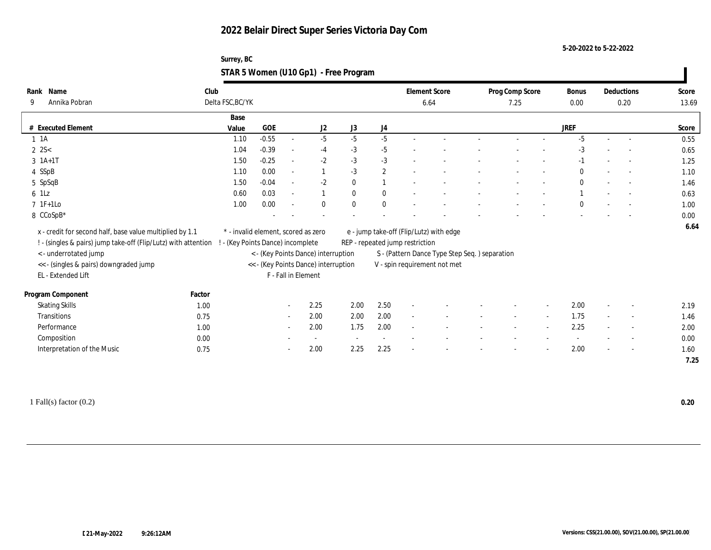**5-20-2022 to 5-22-2022**

| Surrey, BC                            |  |
|---------------------------------------|--|
| STAR 5 Women (U10 Gp1) - Free Program |  |

| Name<br>Rank                                                   | Club             |                                     |                          |                                      |              |              |                                 | <b>Element Score</b>                           | Prog Comp Score |        | Bonus        |                          | Deductions               | Score |
|----------------------------------------------------------------|------------------|-------------------------------------|--------------------------|--------------------------------------|--------------|--------------|---------------------------------|------------------------------------------------|-----------------|--------|--------------|--------------------------|--------------------------|-------|
| Annika Pobran<br>9                                             | Delta FSC, BC/YK |                                     |                          |                                      |              |              |                                 | 6.64                                           | 7.25            |        | 0.00         |                          | 0.20                     | 13.69 |
|                                                                | Base             |                                     |                          |                                      |              |              |                                 |                                                |                 |        |              |                          |                          |       |
| # Executed Element                                             | Value            | <b>GOE</b>                          |                          | J2                                   | J3           | J4           |                                 |                                                |                 |        | <b>JREF</b>  |                          |                          | Score |
| $1 \t1A$                                                       | 1.10             | $-0.55$                             | $\overline{\phantom{a}}$ | $-5$                                 | $-5$         | $-5$         | $\sim$                          |                                                |                 |        | $-5$         | $\sim$                   | $\sim$                   | 0.55  |
| $2 \, 2S <$                                                    | 1.04             | $-0.39$                             | $\overline{\phantom{a}}$ | $-4$                                 | $-3$         | $-5$         |                                 |                                                |                 |        | $-3$         |                          |                          | 0.65  |
| $3 \; 1A+1T$                                                   | 1.50             | $-0.25$                             | $\sim$                   | $-2$                                 | $-3$         | $-3$         |                                 |                                                |                 |        | -1           |                          |                          | 1.25  |
| 4 SSpB                                                         | 1.10             | 0.00                                | $\sim$                   |                                      | $-3$         | $\mathbf{2}$ |                                 |                                                |                 |        | $\mathbf{0}$ |                          | $\sim$                   | 1.10  |
| 5 SpSqB                                                        | 1.50             | $-0.04$                             | $\sim$                   | $-2$                                 | $\bf{0}$     | 1            |                                 |                                                |                 |        | $\bf{0}$     |                          | $\sim$                   | 1.46  |
| 6 1Lz                                                          | 0.60             | 0.03                                | $\sim$                   | $\mathbf{1}$                         | $\mathbf{0}$ | $\mathbf{0}$ |                                 |                                                |                 |        |              |                          | $\overline{\phantom{a}}$ | 0.63  |
| $7 \text{ } 1\text{F+1Lo}$                                     | 1.00             | 0.00                                | $\overline{\phantom{a}}$ | $\bf{0}$                             | $\mathbf{0}$ | $\bf{0}$     |                                 |                                                |                 |        | $\theta$     |                          |                          | 1.00  |
| 8 CCoSpB*                                                      |                  |                                     |                          |                                      |              |              |                                 |                                                |                 |        |              |                          |                          | 0.00  |
| x - credit for second half, base value multiplied by 1.1       |                  | * - invalid element, scored as zero |                          |                                      |              |              |                                 | e - jump take-off (Flip/Lutz) with edge        |                 |        |              |                          |                          | 6.64  |
| ! - (singles & pairs) jump take-off (Flip/Lutz) with attention |                  | - (Key Points Dance) incomplete     |                          |                                      |              |              | REP - repeated jump restriction |                                                |                 |        |              |                          |                          |       |
| < - underrotated jump                                          |                  |                                     |                          | < - (Key Points Dance) interruption  |              |              |                                 | S - (Pattern Dance Type Step Seq. ) separation |                 |        |              |                          |                          |       |
| << - (singles & pairs) downgraded jump                         |                  |                                     |                          | << - (Key Points Dance) interruption |              |              |                                 | V - spin requirement not met                   |                 |        |              |                          |                          |       |
| EL - Extended Lift                                             |                  |                                     | F - Fall in Element      |                                      |              |              |                                 |                                                |                 |        |              |                          |                          |       |
|                                                                |                  |                                     |                          |                                      |              |              |                                 |                                                |                 |        |              |                          |                          |       |
| Program Component                                              | Factor           |                                     |                          |                                      |              |              |                                 |                                                |                 |        |              |                          |                          |       |
| <b>Skating Skills</b>                                          | 1.00             |                                     | $\sim$                   | 2.25                                 | 2.00         | 2.50         | $\sim$                          |                                                |                 |        | 2.00         | $\overline{\phantom{a}}$ | $\overline{\phantom{a}}$ | 2.19  |
| Transitions                                                    | 0.75             |                                     | $\sim$                   | 2.00                                 | 2.00         | 2.00         | $\sim$                          |                                                | $\sim$          | $\sim$ | 1.75         | $\sim$                   | $\sim$                   | 1.46  |
| Performance                                                    | 1.00             |                                     | $\sim$                   | 2.00                                 | 1.75         | 2.00         | $\sim$                          |                                                |                 |        | 2.25         |                          | $\overline{\phantom{a}}$ | 2.00  |
| Composition                                                    | 0.00             |                                     |                          | $\sim$                               |              | $\sim$       |                                 |                                                |                 |        |              |                          | $\overline{\phantom{a}}$ | 0.00  |
| Interpretation of the Music                                    | 0.75             |                                     |                          | 2.00                                 | 2.25         | 2.25         |                                 |                                                |                 |        | 2.00         |                          | $\sim$                   | 1.60  |
|                                                                |                  |                                     |                          |                                      |              |              |                                 |                                                |                 |        |              |                          |                          | 7.25  |

1 Fall(s) factor (0.2) **0.20**